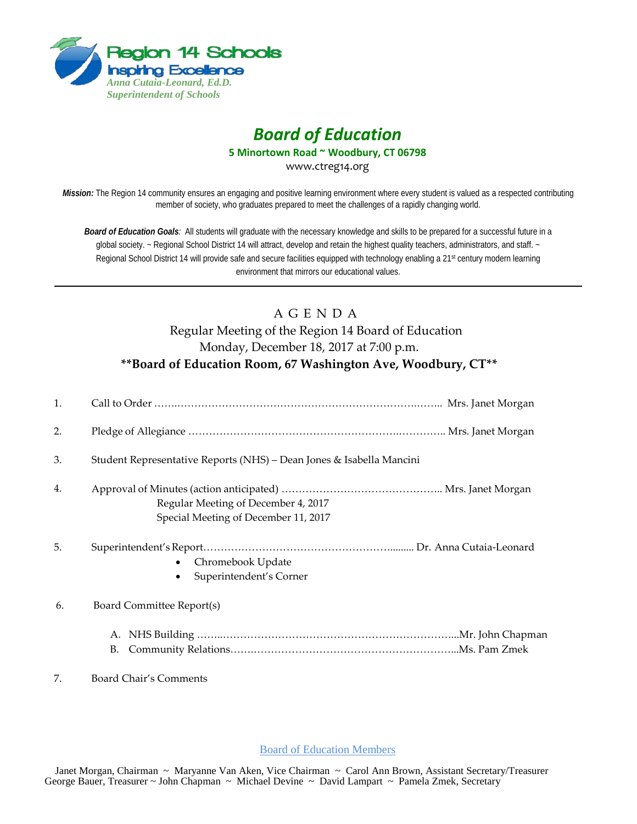

## *Board of Education*

**5 Minortown Road ~ Woodbury, CT 06798**

www.ctreg14.org

*Mission:* The Region 14 community ensures an engaging and positive learning environment where every student is valued as a respected contributing member of society, who graduates prepared to meet the challenges of a rapidly changing world.

*Board of Education Goals:* All students will graduate with the necessary knowledge and skills to be prepared for a successful future in a global society. ~ Regional School District 14 will attract, develop and retain the highest quality teachers, administrators, and staff. ~ Regional School District 14 will provide safe and secure facilities equipped with technology enabling a 21<sup>st</sup> century modern learning environment that mirrors our educational values.

## A G E N D A Regular Meeting of the Region 14 Board of Education Monday, December 18, 2017 at 7:00 p.m. **\*\*Board of Education Room, 67 Washington Ave, Woodbury, CT\*\***

| 1. |                                                                             |
|----|-----------------------------------------------------------------------------|
| 2. |                                                                             |
| 3. | Student Representative Reports (NHS) - Dean Jones & Isabella Mancini        |
| 4. | Regular Meeting of December 4, 2017<br>Special Meeting of December 11, 2017 |
| 5. | Chromebook Update<br>Superintendent's Corner                                |
| 6. | Board Committee Report(s)                                                   |
|    |                                                                             |
| 7. | Board Chair's Comments                                                      |

Board of Education Members